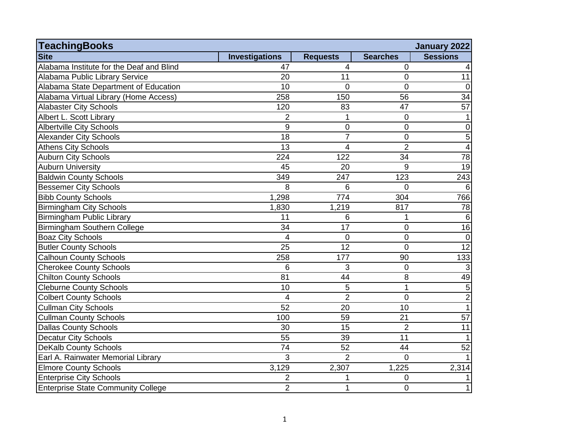| <b>TeachingBooks</b>                      |                          |                 |                 | January 2022    |
|-------------------------------------------|--------------------------|-----------------|-----------------|-----------------|
| <b>Site</b>                               | <b>Investigations</b>    | <b>Requests</b> | <b>Searches</b> | <b>Sessions</b> |
| Alabama Institute for the Deaf and Blind  | 47                       | $\overline{4}$  | 0               | 4               |
| Alabama Public Library Service            | 20                       | 11              | $\mathbf 0$     | 11              |
| Alabama State Department of Education     | 10                       | $\mathbf 0$     | $\overline{0}$  | $\mathbf 0$     |
| Alabama Virtual Library (Home Access)     | 258                      | 150             | 56              | $\overline{34}$ |
| <b>Alabaster City Schools</b>             | 120                      | 83              | 47              | 57              |
| Albert L. Scott Library                   | $\overline{2}$           | 1               | $\overline{0}$  | $\mathbf{1}$    |
| <b>Albertville City Schools</b>           | 9                        | 0               | $\overline{0}$  | $\mathbf 0$     |
| <b>Alexander City Schools</b>             | $\overline{18}$          | $\overline{7}$  | $\overline{0}$  | $\overline{5}$  |
| <b>Athens City Schools</b>                | 13                       | 4               | $\overline{2}$  | $\vert 4 \vert$ |
| <b>Auburn City Schools</b>                | 224                      | 122             | 34              | $\overline{78}$ |
| <b>Auburn University</b>                  | 45                       | 20              | 9               | $\overline{19}$ |
| <b>Baldwin County Schools</b>             | 349                      | 247             | 123             | 243             |
| <b>Bessemer City Schools</b>              | 8                        | 6               | $\Omega$        | 6               |
| <b>Bibb County Schools</b>                | 1,298                    | 774             | 304             | 766             |
| <b>Birmingham City Schools</b>            | 1,830                    | 1,219           | 817             | 78              |
| Birmingham Public Library                 | 11                       | 6               | 1               | 6               |
| Birmingham Southern College               | 34                       | 17              | $\mathbf 0$     | 16              |
| <b>Boaz City Schools</b>                  | $\overline{\mathcal{L}}$ | $\overline{0}$  | $\overline{0}$  | $\mathbf 0$     |
| <b>Butler County Schools</b>              | 25                       | 12              | $\overline{0}$  | $\overline{12}$ |
| <b>Calhoun County Schools</b>             | 258                      | 177             | 90              | 133             |
| <b>Cherokee County Schools</b>            | 6                        | 3               | 0               | $\mathbf{3}$    |
| <b>Chilton County Schools</b>             | 81                       | 44              | 8               | 49              |
| <b>Cleburne County Schools</b>            | 10                       | 5               | $\mathbf 1$     | 5 <sup>1</sup>  |
| <b>Colbert County Schools</b>             | $\overline{\mathcal{L}}$ | $\overline{2}$  | $\overline{0}$  | $\overline{2}$  |
| <b>Cullman City Schools</b>               | $\overline{52}$          | 20              | 10              | $\overline{1}$  |
| <b>Cullman County Schools</b>             | 100                      | 59              | 21              | 57              |
| <b>Dallas County Schools</b>              | 30                       | 15              | $\overline{2}$  | 11              |
| <b>Decatur City Schools</b>               | 55                       | 39              | 11              | $\mathbf{1}$    |
| <b>DeKalb County Schools</b>              | 74                       | 52              | 44              | 52              |
| Earl A. Rainwater Memorial Library        | 3                        | $\overline{2}$  | $\Omega$        | $\mathbf{1}$    |
| <b>Elmore County Schools</b>              | 3,129                    | 2,307           | 1,225           | 2,314           |
| <b>Enterprise City Schools</b>            | $\overline{2}$           | 1               | $\mathbf 0$     | 1               |
| <b>Enterprise State Community College</b> | $\overline{2}$           | 1               | $\overline{0}$  | $\mathbf{1}$    |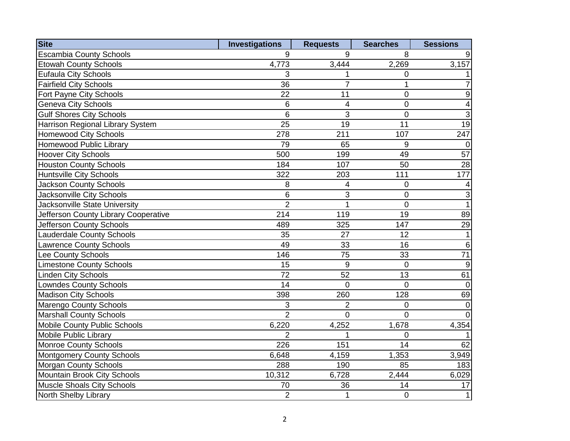| <b>Site</b>                          | <b>Investigations</b> | <b>Requests</b> | <b>Searches</b> | <b>Sessions</b>         |
|--------------------------------------|-----------------------|-----------------|-----------------|-------------------------|
| <b>Escambia County Schools</b>       | 9                     | 9               | 8               | 9                       |
| <b>Etowah County Schools</b>         | 4,773                 | 3,444           | 2,269           | 3,157                   |
| <b>Eufaula City Schools</b>          | 3                     | 1               | $\mathbf 0$     | 1                       |
| <b>Fairfield City Schools</b>        | 36                    | $\overline{7}$  | $\mathbf{1}$    | $\overline{7}$          |
| <b>Fort Payne City Schools</b>       | 22                    | 11              | $\mathbf 0$     | $\overline{9}$          |
| <b>Geneva City Schools</b>           | 6                     | 4               | $\mathbf 0$     | $\overline{\mathbf{A}}$ |
| <b>Gulf Shores City Schools</b>      | 6                     | 3               | $\mathbf 0$     | س                       |
| Harrison Regional Library System     | 25                    | 19              | 11              | 19                      |
| <b>Homewood City Schools</b>         | 278                   | 211             | 107             | 247                     |
| Homewood Public Library              | 79                    | 65              | 9               | 0                       |
| <b>Hoover City Schools</b>           | 500                   | 199             | 49              | 57                      |
| <b>Houston County Schools</b>        | 184                   | 107             | 50              | 28                      |
| <b>Huntsville City Schools</b>       | 322                   | 203             | 111             | 177                     |
| <b>Jackson County Schools</b>        | 8                     | 4               | $\overline{0}$  | $\vert 4 \vert$         |
| <b>Jacksonville City Schools</b>     | 6                     | 3               | $\overline{0}$  | $\overline{3}$          |
| Jacksonville State University        | $\overline{2}$        | $\mathbf{1}$    | $\overline{0}$  | $\overline{1}$          |
| Jefferson County Library Cooperative | 214                   | 119             | $\overline{19}$ | $\overline{89}$         |
| Jefferson County Schools             | 489                   | 325             | 147             | 29                      |
| <b>Lauderdale County Schools</b>     | 35                    | 27              | 12              | 1                       |
| <b>Lawrence County Schools</b>       | 49                    | 33              | 16              | 6                       |
| Lee County Schools                   | 146                   | 75              | 33              | 71                      |
| <b>Limestone County Schools</b>      | 15                    | $\overline{9}$  | $\overline{0}$  | 9                       |
| <b>Linden City Schools</b>           | $\overline{72}$       | 52              | 13              | 61                      |
| <b>Lowndes County Schools</b>        | 14                    | $\overline{0}$  | $\overline{0}$  | 0                       |
| <b>Madison City Schools</b>          | 398                   | 260             | 128             | 69                      |
| <b>Marengo County Schools</b>        | 3                     | $\overline{2}$  | $\mathbf 0$     | 0                       |
| <b>Marshall County Schools</b>       | $\overline{2}$        | $\overline{0}$  | $\mathbf 0$     | 0                       |
| <b>Mobile County Public Schools</b>  | 6,220                 | 4,252           | 1,678           | 4,354                   |
| <b>Mobile Public Library</b>         | $\overline{2}$        | 1               | $\overline{0}$  | $\vert$ 1               |
| Monroe County Schools                | 226                   | 151             | 14              | 62                      |
| <b>Montgomery County Schools</b>     | 6,648                 | 4,159           | 1,353           | 3,949                   |
| <b>Morgan County Schools</b>         | 288                   | 190             | 85              | 183                     |
| Mountain Brook City Schools          | 10,312                | 6,728           | 2,444           | 6,029                   |
| Muscle Shoals City Schools           | 70                    | 36              | 14              | 17                      |
| North Shelby Library                 | $\overline{2}$        | $\mathbf{1}$    | $\overline{0}$  | 1                       |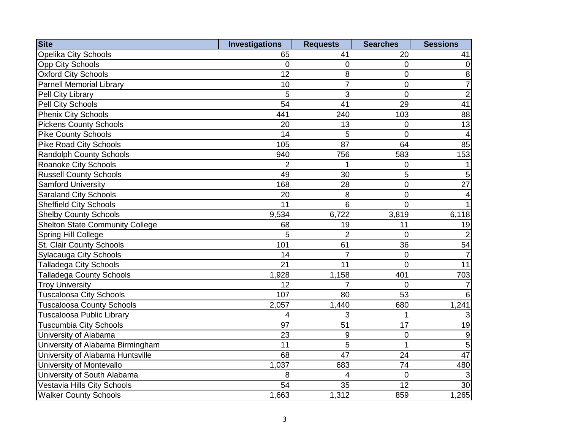| <b>Site</b>                            | <b>Investigations</b> | <b>Requests</b> | <b>Searches</b> | <b>Sessions</b>          |
|----------------------------------------|-----------------------|-----------------|-----------------|--------------------------|
| <b>Opelika City Schools</b>            | 65                    | 41              | 20              | 41                       |
| <b>Opp City Schools</b>                | $\overline{0}$        | $\mathbf 0$     | $\overline{0}$  | 0                        |
| <b>Oxford City Schools</b>             | 12                    | $\,8\,$         | 0               | $\overline{8}$           |
| <b>Parnell Memorial Library</b>        | 10                    | $\overline{7}$  | $\mathbf 0$     | $\overline{7}$           |
| Pell City Library                      | 5                     | 3               | 0               | $\overline{2}$           |
| Pell City Schools                      | 54                    | 41              | 29              | 41                       |
| Phenix City Schools                    | 441                   | 240             | 103             | 88                       |
| <b>Pickens County Schools</b>          | 20                    | 13              | 0               | 13                       |
| <b>Pike County Schools</b>             | 14                    | 5               | $\overline{0}$  | $\vert 4 \vert$          |
| <b>Pike Road City Schools</b>          | 105                   | 87              | 64              | 85                       |
| Randolph County Schools                | 940                   | 756             | 583             | 153                      |
| Roanoke City Schools                   | $\overline{2}$        | 1               | 0               | 1                        |
| <b>Russell County Schools</b>          | 49                    | 30              | 5               | $\overline{5}$           |
| Samford University                     | 168                   | 28              | $\mathbf 0$     | $\overline{27}$          |
| <b>Saraland City Schools</b>           | 20                    | 8               | 0               | $\overline{\mathcal{A}}$ |
| <b>Sheffield City Schools</b>          | $\overline{11}$       | 6               | 0               | $\mathbf{1}$             |
| <b>Shelby County Schools</b>           | 9,534                 | 6,722           | 3,819           | 6,118                    |
| <b>Shelton State Community College</b> | 68                    | 19              | 11              | 19                       |
| <b>Spring Hill College</b>             | 5                     | $\overline{2}$  | 0               | $\overline{2}$           |
| St. Clair County Schools               | 101                   | 61              | 36              | 54                       |
| Sylacauga City Schools                 | 14                    | $\overline{7}$  | 0               | $\overline{7}$           |
| <b>Talladega City Schools</b>          | 21                    | 11              | $\overline{0}$  | $\overline{11}$          |
| <b>Talladega County Schools</b>        | 1,928                 | 1,158           | 401             | 703                      |
| <b>Troy University</b>                 | 12                    | $\overline{7}$  | 0               | $\overline{7}$           |
| <b>Tuscaloosa City Schools</b>         | 107                   | 80              | $\overline{53}$ | $6\phantom{1}6$          |
| <b>Tuscaloosa County Schools</b>       | 2,057                 | 1,440           | 680             | 1,241                    |
| Tuscaloosa Public Library              | $\overline{4}$        | 3               | 1               | 3                        |
| <b>Tuscumbia City Schools</b>          | 97                    | 51              | 17              | 19                       |
| University of Alabama                  | 23                    | $9\,$           | 0               | $\boldsymbol{9}$         |
| University of Alabama Birmingham       | 11                    | $\overline{5}$  | $\mathbf{1}$    | $\overline{5}$           |
| University of Alabama Huntsville       | 68                    | 47              | 24              | 47                       |
| University of Montevallo               | 1,037                 | 683             | 74              | 480                      |
| University of South Alabama            | 8                     | 4               | $\overline{0}$  | $\mathbf{3}$             |
| Vestavia Hills City Schools            | $\overline{54}$       | $\overline{35}$ | $\overline{12}$ | 30                       |
| <b>Walker County Schools</b>           | 1,663                 | 1,312           | 859             | 1,265                    |